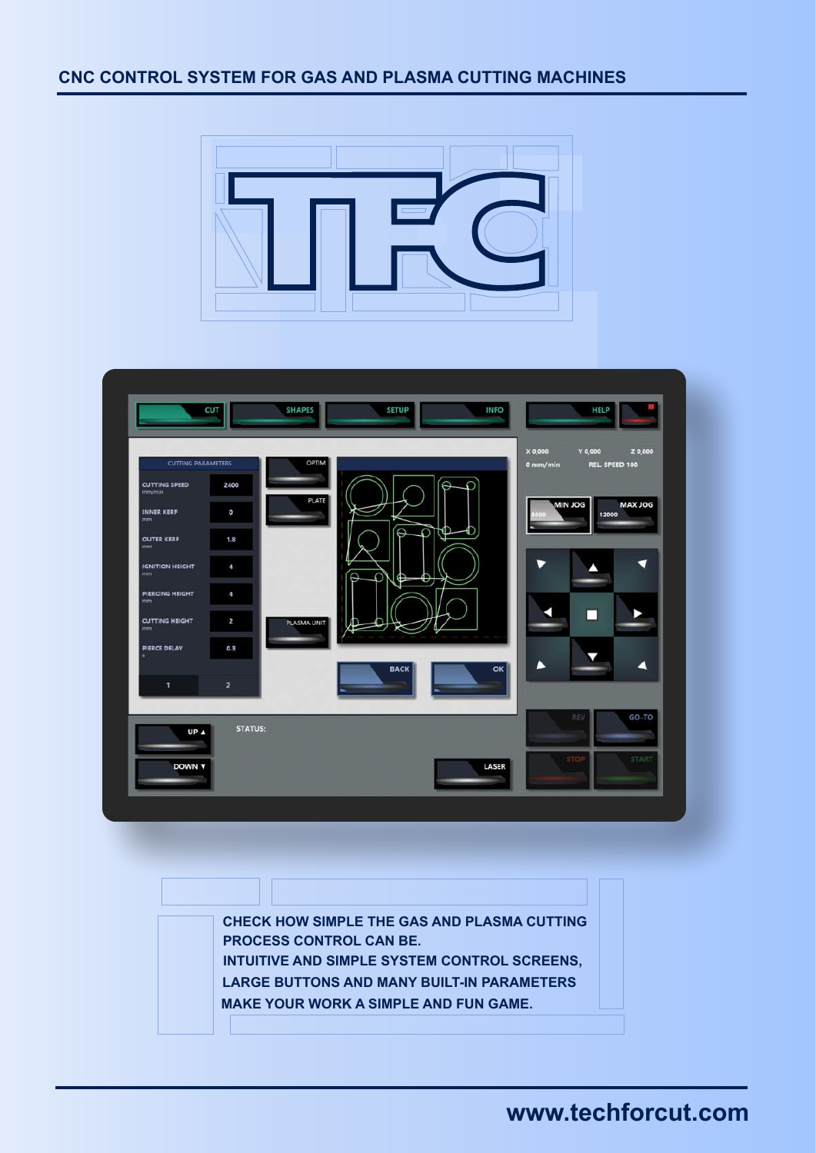### **CNC CONTROL SYSTEM FOR GAS AND PLASMA CUTTING MACHINES**





**CHECK HOW SIMPLE THE GAS AND PLASMA CUTTING PROCESS CONTROL CAN BE. INTUITIVE AND SIMPLE SYSTEM CONTROL SCREENS, LARGE BUTTONS AND MANY BUILT-IN PARAMETERS MAKE YOUR WORK A SIMPLE AND FUN GAME.** 

# **www.techforcut.com**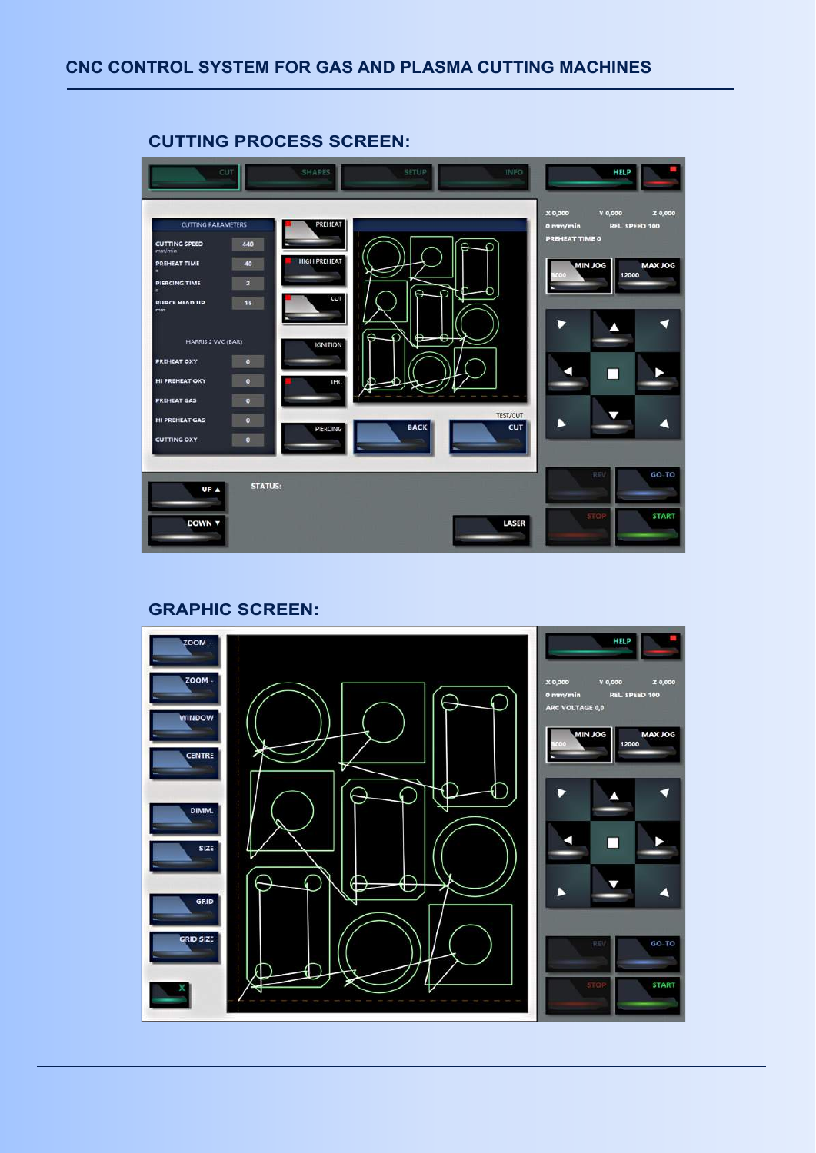

#### **CUTTING PROCESS SCREEN:**

#### **GRAPHIC SCREEN:**

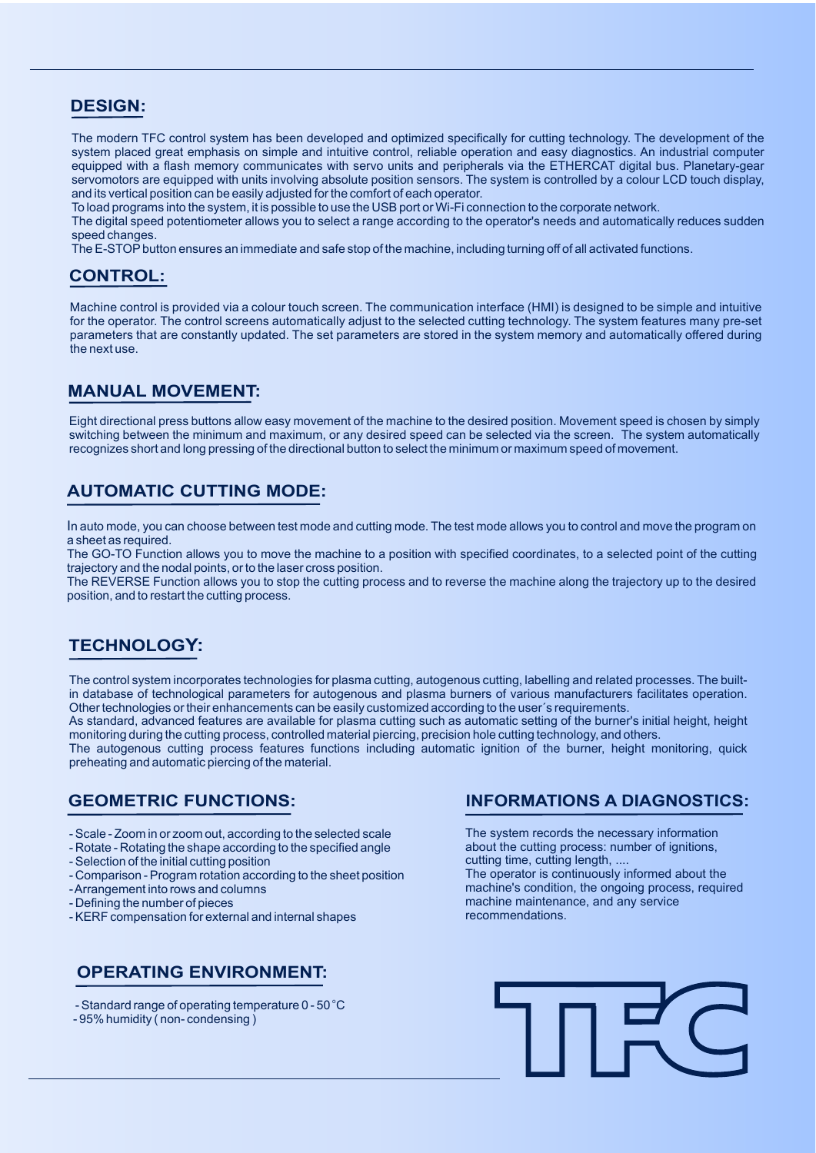### **DESIGN:**

The modern TFC control system has been developed and optimized specifically for cutting technology. The development of the system placed great emphasis on simple and intuitive control, reliable operation and easy diagnostics. An industrial computer equipped with a flash memory communicates with servo units and peripherals via the ETHERCAT digital bus. Planetary-gear servomotors are equipped with units involving absolute position sensors. The system is controlled by a colour LCD touch display, and its vertical position can be easily adjusted for the comfort of each operator.

To load programs into the system, it is possible to use the USB port or Wi-Fi connection to the corporate network.

The digital speed potentiometer allows you to select a range according to the operator's needs and automatically reduces sudden speed changes.

The E-STOP button ensures an immediate and safe stop of the machine, including turning off of all activated functions.

### **CONTROL:**

Machine control is provided via a colour touch screen. The communication interface (HMI) is designed to be simple and intuitive for the operator. The control screens automatically adjust to the selected cutting technology. The system features many pre-set parameters that are constantly updated. The set parameters are stored in the system memory and automatically offered during the next use.

#### **MANUAL MOVEMENT:**

Eight directional press buttons allow easy movement of the machine to the desired position. Movement speed is chosen by simply switching between the minimum and maximum, or any desired speed can be selected via the screen. The system automatically recognizes short and long pressing of the directional button to select the minimum or maximum speed of movement.

### **AUTOMATIC CUTTING MODE:**

In auto mode, you can choose between test mode and cutting mode. The test mode allows you to control and move the program on a sheet as required.

The GO-TO Function allows you to move the machine to a position with specified coordinates, to a selected point of the cutting trajectory and the nodal points, or to the laser cross position.

The REVERSE Function allows you to stop the cutting process and to reverse the machine along the trajectory up to the desired position, and to restart the cutting process.

### **TECHNOLOGY:**

The control system incorporates technologies for plasma cutting, autogenous cutting, labelling and related processes. The builtin database of technological parameters for autogenous and plasma burners of various manufacturers facilitates operation. Other technologies or their enhancements can be easily customized according to the user´s requirements.

As standard, advanced features are available for plasma cutting such as automatic setting of the burner's initial height, height monitoring during the cutting process, controlled material piercing, precision hole cutting technology, and others.

The autogenous cutting process features functions including automatic ignition of the burner, height monitoring, quick preheating and automatic piercing of the material.

#### **GEOMETRIC FUNCTIONS:**

- Scale Zoom in or zoom out, according to the selected scale
- Rotate Rotating the shape according to the specified angle
- Selection of the initial cutting position
- Comparison Program rotation according to the sheet position
- Arrangement into rows and columns
- Defining the number of pieces
- KERF compensation for external and internal shapes

### **OPERATING ENVIRONMENT:**

- Standard range of operating temperature 0 50 °C
- 95% humidity ( non- condensing )

#### **INFORMATIONS A DIAGNOSTICS:**

The system records the necessary information about the cutting process: number of ignitions, cutting time, cutting length, .... The operator is continuously informed about the machine's condition, the ongoing process, required machine maintenance, and any service recommendations.